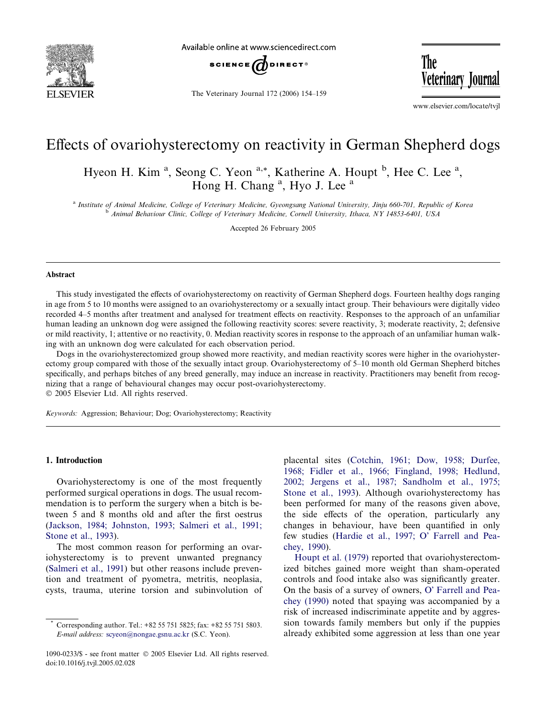

Available online at www.sciencedirect.com



The Veterinary Journal 172 (2006) 154–159

The Veterinary Journal

www.elsevier.com/locate/tvjl

## Effects of ovariohysterectomy on reactivity in German Shepherd dogs

Hyeon H. Kim<sup>a</sup>, Seong C. Yeon<sup>a,\*</sup>, Katherine A. Houpt <sup>b</sup>, Hee C. Lee<sup>a</sup>, Hong H. Chang<sup>a</sup>, Hyo J. Lee <sup>a</sup>

a Institute of Animal Medicine, College of Veterinary Medicine, Gyeongsang National University, Jinju 660-701, Republic of Korea <sup>b</sup> Animal Behaviour Clinic, College of Veterinary Medicine, Cornell University, Ithaca, NY 14853-6401, USA

Accepted 26 February 2005

## Abstract

This study investigated the effects of ovariohysterectomy on reactivity of German Shepherd dogs. Fourteen healthy dogs ranging in age from 5 to 10 months were assigned to an ovariohysterectomy or a sexually intact group. Their behaviours were digitally video recorded 4–5 months after treatment and analysed for treatment effects on reactivity. Responses to the approach of an unfamiliar human leading an unknown dog were assigned the following reactivity scores: severe reactivity, 3; moderate reactivity, 2; defensive or mild reactivity, 1; attentive or no reactivity, 0. Median reactivity scores in response to the approach of an unfamiliar human walking with an unknown dog were calculated for each observation period.

Dogs in the ovariohysterectomized group showed more reactivity, and median reactivity scores were higher in the ovariohysterectomy group compared with those of the sexually intact group. Ovariohysterectomy of 5–10 month old German Shepherd bitches specifically, and perhaps bitches of any breed generally, may induce an increase in reactivity. Practitioners may benefit from recognizing that a range of behavioural changes may occur post-ovariohysterectomy.  $© 2005 Elsevier Ltd. All rights reserved.$ 

Keywords: Aggression; Behaviour; Dog; Ovariohysterectomy; Reactivity

# 1. Introduction

Ovariohysterectomy is one of the most frequently performed surgical operations in dogs. The usual recommendation is to perform the surgery when a bitch is between 5 and 8 months old and after the first oestrus ([Jackson, 1984; Johnston, 1993; Salmeri et al., 1991;](#page-4-0) [Stone et al., 1993\)](#page-4-0).

The most common reason for performing an ovariohysterectomy is to prevent unwanted pregnancy ([Salmeri et al., 1991\)](#page-5-0) but other reasons include prevention and treatment of pyometra, metritis, neoplasia, cysts, trauma, uterine torsion and subinvolution of

placental sites [\(Cotchin, 1961; Dow, 1958; Durfee,](#page-4-0) [1968; Fidler et al., 1966; Fingland, 1998; Hedlund,](#page-4-0) [2002; Jergens et al., 1987; Sandholm et al., 1975;](#page-4-0) [Stone et al., 1993\)](#page-4-0). Although ovariohysterectomy has been performed for many of the reasons given above, the side effects of the operation, particularly any changes in behaviour, have been quantified in only few studies ([Hardie et al., 1997; O](#page-4-0)' Farrell and Pea[chey, 1990](#page-4-0)).

[Houpt et al. \(1979\)](#page-4-0) reported that ovariohysterectomized bitches gained more weight than sham-operated controls and food intake also was significantly greater. On the basis of a survey of owners, O' [Farrell and Pea](#page-4-0)[chey \(1990\)](#page-4-0) noted that spaying was accompanied by a risk of increased indiscriminate appetite and by aggression towards family members but only if the puppies already exhibited some aggression at less than one year

Corresponding author. Tel.: +82 55 751 5825; fax: +82 55 751 5803. E-mail address: [scyeon@nongae.gsnu.ac.kr](mailto:scyeon@nongae.gsnu.ac.kr) (S.C. Yeon).

<sup>1090-0233/\$ -</sup> see front matter © 2005 Elsevier Ltd. All rights reserved. doi:10.1016/j.tvjl.2005.02.028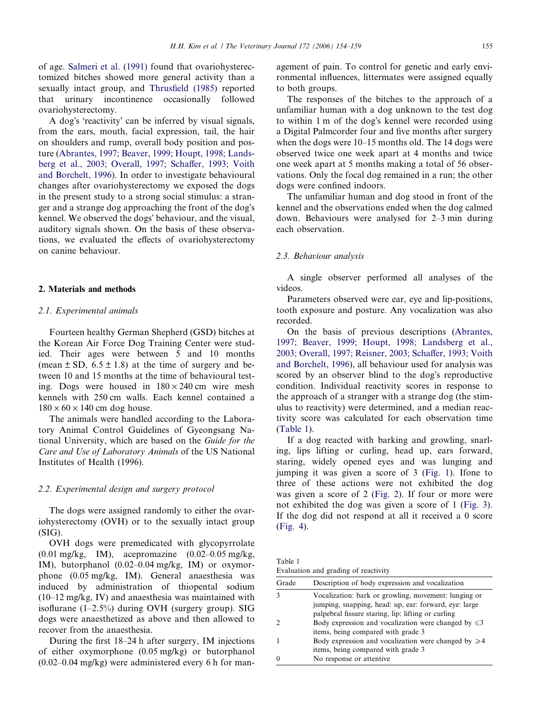of age. [Salmeri et al. \(1991\)](#page-5-0) found that ovariohysterectomized bitches showed more general activity than a sexually intact group, and [Thrusfield \(1985\)](#page-5-0) reported that urinary incontinence occasionally followed ovariohysterectomy.

A dog's 'reactivity' can be inferred by visual signals, from the ears, mouth, facial expression, tail, the hair on shoulders and rump, overall body position and posture [\(Abrantes, 1997; Beaver, 1999; Houpt, 1998; Lands](#page-4-0)[berg et al., 2003; Overall, 1997; Schaffer, 1993; Voith](#page-4-0) [and Borchelt, 1996\)](#page-4-0). In order to investigate behavioural changes after ovariohysterectomy we exposed the dogs in the present study to a strong social stimulus: a stranger and a strange dog approaching the front of the dog's kennel. We observed the dogs' behaviour, and the visual, auditory signals shown. On the basis of these observations, we evaluated the effects of ovariohysterectomy on canine behaviour.

#### 2. Materials and methods

#### 2.1. Experimental animals

Fourteen healthy German Shepherd (GSD) bitches at the Korean Air Force Dog Training Center were studied. Their ages were between 5 and 10 months (mean  $\pm$  SD, 6.5  $\pm$  1.8) at the time of surgery and between 10 and 15 months at the time of behavioural testing. Dogs were housed in  $180 \times 240$  cm wire mesh kennels with 250 cm walls. Each kennel contained a  $180 \times 60 \times 140$  cm dog house.

The animals were handled according to the Laboratory Animal Control Guidelines of Gyeongsang National University, which are based on the Guide for the Care and Use of Laboratory Animals of the US National Institutes of Health (1996).

## 2.2. Experimental design and surgery protocol

The dogs were assigned randomly to either the ovariohysterectomy (OVH) or to the sexually intact group (SIG).

OVH dogs were premedicated with glycopyrrolate  $(0.01 \text{ mg/kg}, \text{ IM})$ , acepromazine  $(0.02-0.05 \text{ mg/kg}, \text{ IM})$ IM), butorphanol (0.02–0.04 mg/kg, IM) or oxymorphone (0.05 mg/kg, IM). General anaesthesia was induced by administration of thiopental sodium (10–12 mg/kg, IV) and anaesthesia was maintained with isoflurane  $(1-2.5\%)$  during OVH (surgery group). SIG dogs were anaesthetized as above and then allowed to recover from the anaesthesia.

During the first 18–24 h after surgery, IM injections of either oxymorphone (0.05 mg/kg) or butorphanol (0.02–0.04 mg/kg) were administered every 6 h for management of pain. To control for genetic and early environmental influences, littermates were assigned equally to both groups.

The responses of the bitches to the approach of a unfamiliar human with a dog unknown to the test dog to within 1 m of the dog's kennel were recorded using a Digital Palmcorder four and five months after surgery when the dogs were 10–15 months old. The 14 dogs were observed twice one week apart at 4 months and twice one week apart at 5 months making a total of 56 observations. Only the focal dog remained in a run; the other dogs were confined indoors.

The unfamiliar human and dog stood in front of the kennel and the observations ended when the dog calmed down. Behaviours were analysed for 2–3 min during each observation.

#### 2.3. Behaviour analysis

A single observer performed all analyses of the videos.

Parameters observed were ear, eye and lip-positions, tooth exposure and posture. Any vocalization was also recorded.

On the basis of previous descriptions ([Abrantes,](#page-4-0) [1997; Beaver, 1999; Houpt, 1998; Landsberg et al.,](#page-4-0) [2003; Overall, 1997; Reisner, 2003; Schaffer, 1993; Voith](#page-4-0) [and Borchelt, 1996](#page-4-0)), all behaviour used for analysis was scored by an observer blind to the dog's reproductive condition. Individual reactivity scores in response to the approach of a stranger with a strange dog (the stimulus to reactivity) were determined, and a median reactivity score was calculated for each observation time (Table 1).

If a dog reacted with barking and growling, snarling, lips lifting or curling, head up, ears forward, staring, widely opened eyes and was lunging and jumping it was given a score of 3 ([Fig. 1](#page-2-0)). Ifone to three of these actions were not exhibited the dog was given a score of 2 [\(Fig. 2\)](#page-2-0). If four or more were not exhibited the dog was given a score of 1 [\(Fig. 3\)](#page-2-0). If the dog did not respond at all it received a 0 score ([Fig. 4](#page-2-0)).

Table 1 Evaluation and grading of reactivity

| Grade    | Description of body expression and vocalization                                                               |
|----------|---------------------------------------------------------------------------------------------------------------|
|          | Vocalization: bark or growling, movement: lunging or<br>jumping, snapping, head: up, ear: forward, eye: large |
|          | palpebral fissure staring, lip: lifting or curling                                                            |
|          | Body expression and vocalization were changed by $\leq 3$<br>items, being compared with grade 3               |
|          | Body expression and vocalization were changed by $\geq 4$<br>items, being compared with grade 3               |
| $\Omega$ | No response or attentive                                                                                      |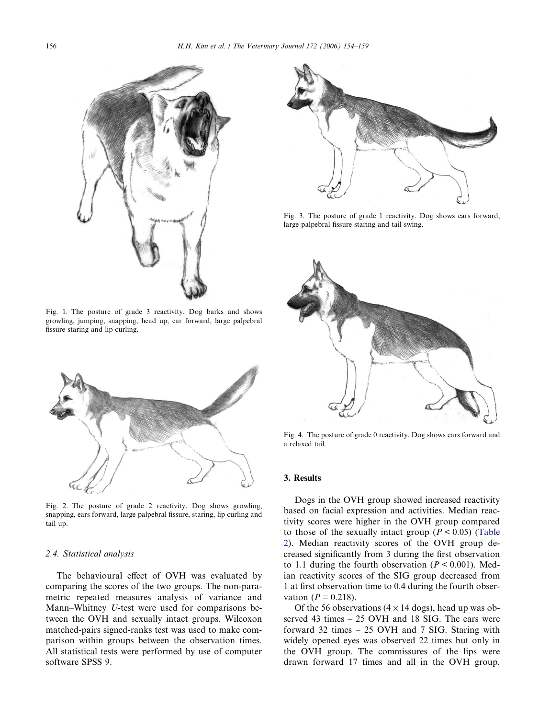<span id="page-2-0"></span>

Fig. 1. The posture of grade 3 reactivity. Dog barks and shows growling, jumping, snapping, head up, ear forward, large palpebral fissure staring and lip curling.



Fig. 2. The posture of grade 2 reactivity. Dog shows growling, snapping, ears forward, large palpebral fissure, staring, lip curling and tail up.

#### 2.4. Statistical analysis

The behavioural effect of OVH was evaluated by comparing the scores of the two groups. The non-parametric repeated measures analysis of variance and Mann–Whitney U-test were used for comparisons between the OVH and sexually intact groups. Wilcoxon matched-pairs signed-ranks test was used to make comparison within groups between the observation times. All statistical tests were performed by use of computer software SPSS 9.



Fig. 3. The posture of grade 1 reactivity. Dog shows ears forward, large palpebral fissure staring and tail swing.



Fig. 4. The posture of grade 0 reactivity. Dog shows ears forward and a relaxed tail.

## 3. Results

Dogs in the OVH group showed increased reactivity based on facial expression and activities. Median reactivity scores were higher in the OVH group compared to those of the sexually intact group ( $P < 0.05$ ) [\(Table](#page-3-0) [2\)](#page-3-0). Median reactivity scores of the OVH group decreased significantly from 3 during the first observation to 1.1 during the fourth observation ( $P < 0.001$ ). Median reactivity scores of the SIG group decreased from 1 at first observation time to 0.4 during the fourth observation ( $P = 0.218$ ).

Of the 56 observations  $(4 \times 14 \text{ dogs})$ , head up was observed 43 times – 25 OVH and 18 SIG. The ears were forward 32 times – 25 OVH and 7 SIG. Staring with widely opened eyes was observed 22 times but only in the OVH group. The commissures of the lips were drawn forward 17 times and all in the OVH group.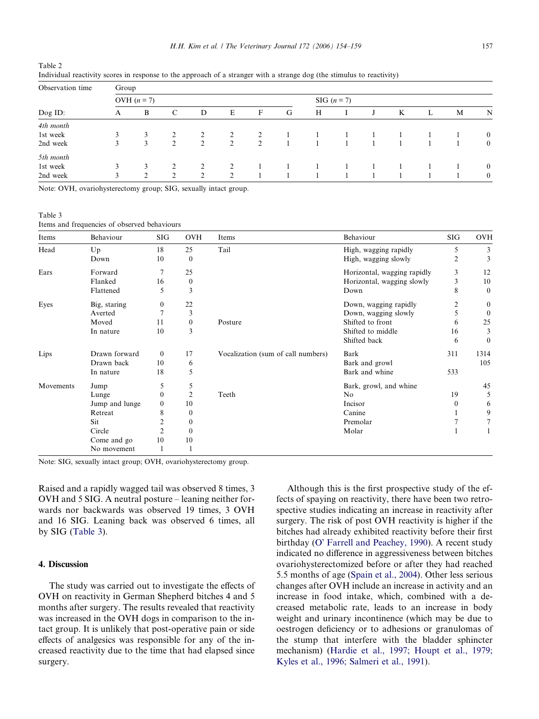<span id="page-3-0"></span>

| Table 2                                                                                                                |  |
|------------------------------------------------------------------------------------------------------------------------|--|
| Individual reactivity scores in response to the approach of a stranger with a strange dog (the stimulus to reactivity) |  |

| Observation time<br>Dog ID: | Group         |               |                |               |                |                |   |               |  |  |   |   |   |                  |
|-----------------------------|---------------|---------------|----------------|---------------|----------------|----------------|---|---------------|--|--|---|---|---|------------------|
|                             | OVH $(n=7)$   |               |                |               |                |                |   | $SIG (n = 7)$ |  |  |   |   |   |                  |
|                             | A             | B             | C              | D             | E              | $\mathbf F$    | G | Н             |  |  | K | L | M | N                |
| 4th month                   |               |               |                |               |                |                |   |               |  |  |   |   |   |                  |
| 1st week                    | $\mathcal{F}$ | 3             | $\mathfrak{D}$ | 2             | 2              | $\mathfrak{D}$ |   |               |  |  |   |   |   | $\mathbf{0}$     |
| 2nd week                    |               | 3             | 2              | $\mathcal{L}$ | 2              | 2              |   |               |  |  |   |   |   | $\boldsymbol{0}$ |
| 5th month                   |               |               |                |               |                |                |   |               |  |  |   |   |   |                  |
| 1st week                    | $\mathcal{L}$ | 3             | $\mathfrak{D}$ | C             | $\mathcal{D}$  |                |   |               |  |  |   |   |   | $\mathbf{0}$     |
| 2nd week                    | 3             | $\mathcal{D}$ | $\overline{2}$ | 2             | $\mathfrak{D}$ |                |   |               |  |  |   |   |   | $\mathbf{0}$     |
|                             |               |               |                |               |                |                |   |               |  |  |   |   |   |                  |

Note: OVH, ovariohysterectomy group; SIG, sexually intact group.

Table 3 Items and frequencies of observed behaviours

| Items     | Behaviour      | SIG            | <b>OVH</b>   | Items                              | Behaviour                   | <b>SIG</b>   | <b>OVH</b>   |
|-----------|----------------|----------------|--------------|------------------------------------|-----------------------------|--------------|--------------|
| Head      | Up             | 18             | 25           | Tail                               | High, wagging rapidly       | 5            | 3            |
|           | Down           | 10             | $\theta$     |                                    | High, wagging slowly        | 2            | 3            |
| Ears      | Forward        | 7              | 25           |                                    | Horizontal, wagging rapidly | 3            | 12           |
|           | Flanked        | 16             | $\mathbf{0}$ |                                    | Horizontal, wagging slowly  | 3            | 10           |
|           | Flattened      | 5              | 3            |                                    | Down                        | 8            | $\theta$     |
| Eyes      | Big, staring   | $\bf{0}$       | 22           |                                    | Down, wagging rapidly       | 2            | $\bf{0}$     |
|           | Averted        | 7              | 3            |                                    | Down, wagging slowly        | 5            | $\mathbf{0}$ |
|           | Moved          | 11             | $\mathbf{0}$ | Posture                            | Shifted to front            | 6            | 25           |
|           | In nature      | 10             | 3            |                                    | Shifted to middle           | 16           | 3            |
|           |                |                |              |                                    | Shifted back                | 6            | $\mathbf{0}$ |
| Lips      | Drawn forward  | $\overline{0}$ | 17           | Vocalization (sum of call numbers) | Bark                        | 311          | 1314         |
|           | Drawn back     | 10             | 6            |                                    | Bark and growl              |              | 105          |
|           | In nature      | 18             | 5            |                                    | Bark and whine              | 533          |              |
| Movements | Jump           | 5              | 5            |                                    | Bark, growl, and whine      |              | 45           |
|           | Lunge          | $\mathbf{0}$   | 2            | Teeth                              | No                          | 19           | 5            |
|           | Jump and lunge | $\bf{0}$       | 10           |                                    | Incisor                     | $\mathbf{0}$ | 6            |
|           | Retreat        | 8              | $\mathbf{0}$ |                                    | Canine                      |              | 9            |
|           | Sit            | 2              | $\theta$     |                                    | Premolar                    |              | 7            |
|           | Circle         | $\overline{c}$ | $\theta$     |                                    | Molar                       |              |              |
|           | Come and go    | 10             | 10           |                                    |                             |              |              |
|           | No movement    |                |              |                                    |                             |              |              |

Note: SIG, sexually intact group; OVH, ovariohysterectomy group.

Raised and a rapidly wagged tail was observed 8 times, 3 OVH and 5 SIG. A neutral posture – leaning neither forwards nor backwards was observed 19 times, 3 OVH and 16 SIG. Leaning back was observed 6 times, all by SIG (Table 3).

## 4. Discussion

The study was carried out to investigate the effects of OVH on reactivity in German Shepherd bitches 4 and 5 months after surgery. The results revealed that reactivity was increased in the OVH dogs in comparison to the intact group. It is unlikely that post-operative pain or side effects of analgesics was responsible for any of the increased reactivity due to the time that had elapsed since surgery.

Although this is the first prospective study of the effects of spaying on reactivity, there have been two retrospective studies indicating an increase in reactivity after surgery. The risk of post OVH reactivity is higher if the bitches had already exhibited reactivity before their first birthday (O' [Farrell and Peachey, 1990\)](#page-4-0). A recent study indicated no difference in aggressiveness between bitches ovariohysterectomized before or after they had reached 5.5 months of age ([Spain et al., 2004](#page-5-0)). Other less serious changes after OVH include an increase in activity and an increase in food intake, which, combined with a decreased metabolic rate, leads to an increase in body weight and urinary incontinence (which may be due to oestrogen deficiency or to adhesions or granulomas of the stump that interfere with the bladder sphincter mechanism) ([Hardie et al., 1997; Houpt et al., 1979;](#page-4-0) [Kyles et al., 1996; Salmeri et al., 1991](#page-4-0)).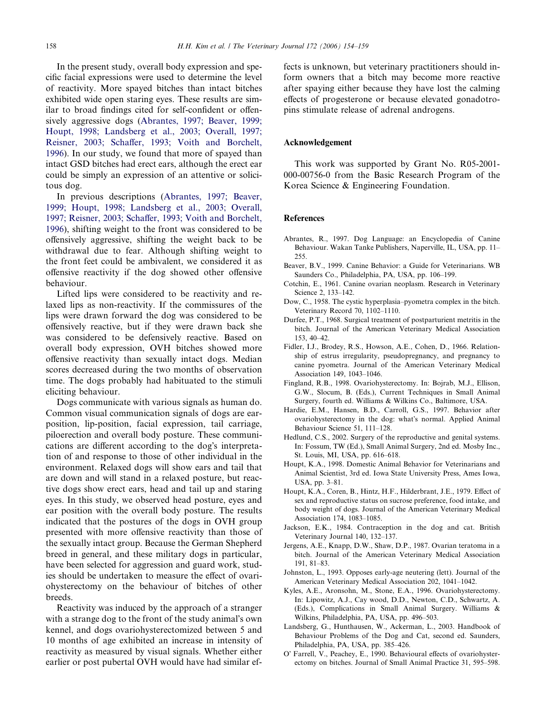<span id="page-4-0"></span>In the present study, overall body expression and specific facial expressions were used to determine the level of reactivity. More spayed bitches than intact bitches exhibited wide open staring eyes. These results are similar to broad findings cited for self-confident or offensively aggressive dogs (Abrantes, 1997; Beaver, 1999; Houpt, 1998; Landsberg et al., 2003; Overall, 1997; Reisner, 2003; Schaffer, 1993; Voith and Borchelt, 1996). In our study, we found that more of spayed than intact GSD bitches had erect ears, although the erect ear could be simply an expression of an attentive or solicitous dog.

In previous descriptions (Abrantes, 1997; Beaver, 1999; Houpt, 1998; Landsberg et al., 2003; Overall, 1997; Reisner, 2003; Schaffer, 1993; Voith and Borchelt, 1996), shifting weight to the front was considered to be offensively aggressive, shifting the weight back to be withdrawal due to fear. Although shifting weight to the front feet could be ambivalent, we considered it as offensive reactivity if the dog showed other offensive behaviour.

Lifted lips were considered to be reactivity and relaxed lips as non-reactivity. If the commissures of the lips were drawn forward the dog was considered to be offensively reactive, but if they were drawn back she was considered to be defensively reactive. Based on overall body expression, OVH bitches showed more offensive reactivity than sexually intact dogs. Median scores decreased during the two months of observation time. The dogs probably had habituated to the stimuli eliciting behaviour.

Dogs communicate with various signals as human do. Common visual communication signals of dogs are earposition, lip-position, facial expression, tail carriage, piloerection and overall body posture. These communications are different according to the dog's interpretation of and response to those of other individual in the environment. Relaxed dogs will show ears and tail that are down and will stand in a relaxed posture, but reactive dogs show erect ears, head and tail up and staring eyes. In this study, we observed head posture, eyes and ear position with the overall body posture. The results indicated that the postures of the dogs in OVH group presented with more offensive reactivity than those of the sexually intact group. Because the German Shepherd breed in general, and these military dogs in particular, have been selected for aggression and guard work, studies should be undertaken to measure the effect of ovariohysterectomy on the behaviour of bitches of other breeds.

Reactivity was induced by the approach of a stranger with a strange dog to the front of the study animal's own kennel, and dogs ovariohysterectomized between 5 and 10 months of age exhibited an increase in intensity of reactivity as measured by visual signals. Whether either earlier or post pubertal OVH would have had similar effects is unknown, but veterinary practitioners should inform owners that a bitch may become more reactive after spaying either because they have lost the calming effects of progesterone or because elevated gonadotropins stimulate release of adrenal androgens.

## Acknowledgement

This work was supported by Grant No. R05-2001- 000-00756-0 from the Basic Research Program of the Korea Science & Engineering Foundation.

## References

- Abrantes, R., 1997. Dog Language: an Encyclopedia of Canine Behaviour. Wakan Tanke Publishers, Naperville, IL, USA, pp. 11– 255.
- Beaver, B.V., 1999. Canine Behavior: a Guide for Veterinarians. WB Saunders Co., Philadelphia, PA, USA, pp. 106–199.
- Cotchin, E., 1961. Canine ovarian neoplasm. Research in Veterinary Science 2, 133–142.
- Dow, C., 1958. The cystic hyperplasia–pyometra complex in the bitch. Veterinary Record 70, 1102–1110.
- Durfee, P.T., 1968. Surgical treatment of postparturient metritis in the bitch. Journal of the American Veterinary Medical Association 153, 40–42.
- Fidler, I.J., Brodey, R.S., Howson, A.E., Cohen, D., 1966. Relationship of estrus irregularity, pseudopregnancy, and pregnancy to canine pyometra. Journal of the American Veterinary Medical Association 149, 1043–1046.
- Fingland, R.B., 1998. Ovariohysterectomy. In: Bojrab, M.J., Ellison, G.W., Slocum, B. (Eds.), Current Techniques in Small Animal Surgery, fourth ed. Williams & Wilkins Co., Baltimore, USA.
- Hardie, E.M., Hansen, B.D., Carroll, G.S., 1997. Behavior after ovariohysterectomy in the dog: what's normal. Applied Animal Behaviour Science 51, 111–128.
- Hedlund, C.S., 2002. Surgery of the reproductive and genital systems. In: Fossum, TW (Ed.), Small Animal Surgery, 2nd ed. Mosby Inc., St. Louis, MI, USA, pp. 616–618.
- Houpt, K.A., 1998. Domestic Animal Behavior for Veterinarians and Animal Scientist, 3rd ed. Iowa State University Press, Ames Iowa, USA, pp. 3–81.
- Houpt, K.A., Coren, B., Hintz, H.F., Hilderbrant, J.E., 1979. Effect of sex and reproductive status on sucrose preference, food intake, and body weight of dogs. Journal of the American Veterinary Medical Association 174, 1083–1085.
- Jackson, E.K., 1984. Contraception in the dog and cat. British Veterinary Journal 140, 132–137.
- Jergens, A.E., Knapp, D.W., Shaw, D.P., 1987. Ovarian teratoma in a bitch. Journal of the American Veterinary Medical Association 191, 81–83.
- Johnston, L., 1993. Opposes early-age neutering (lett). Journal of the American Veterinary Medical Association 202, 1041–1042.
- Kyles, A.E., Aronsohn, M., Stone, E.A., 1996. Ovariohysterectomy. In: Lipowitz, A.J., Cay wood, D.D., Newton, C.D., Schwartz, A. (Eds.), Complications in Small Animal Surgery. Williams & Wilkins, Philadelphia, PA, USA, pp. 496–503.
- Landsberg, G., Hunthausen, W., Ackerman, L., 2003. Handbook of Behaviour Problems of the Dog and Cat, second ed. Saunders, Philadelphia, PA, USA, pp. 385–426.
- O' Farrell, V., Peachey, E., 1990. Behavioural effects of ovariohysterectomy on bitches. Journal of Small Animal Practice 31, 595–598.